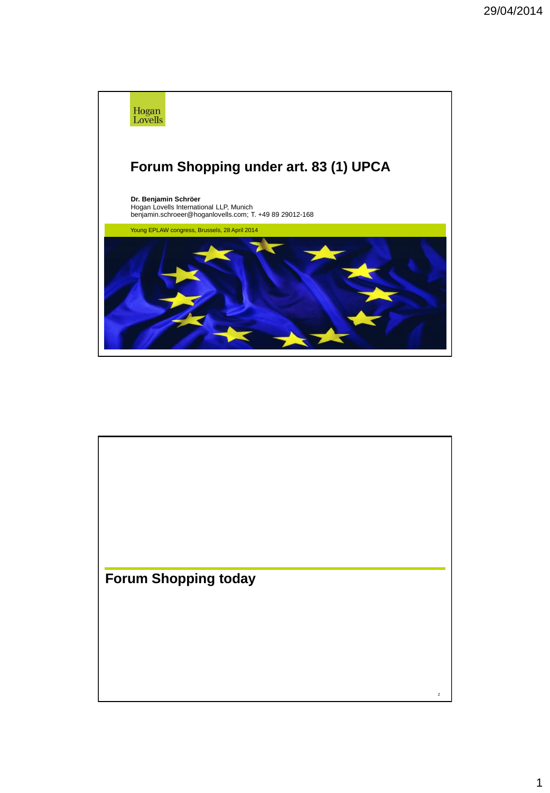

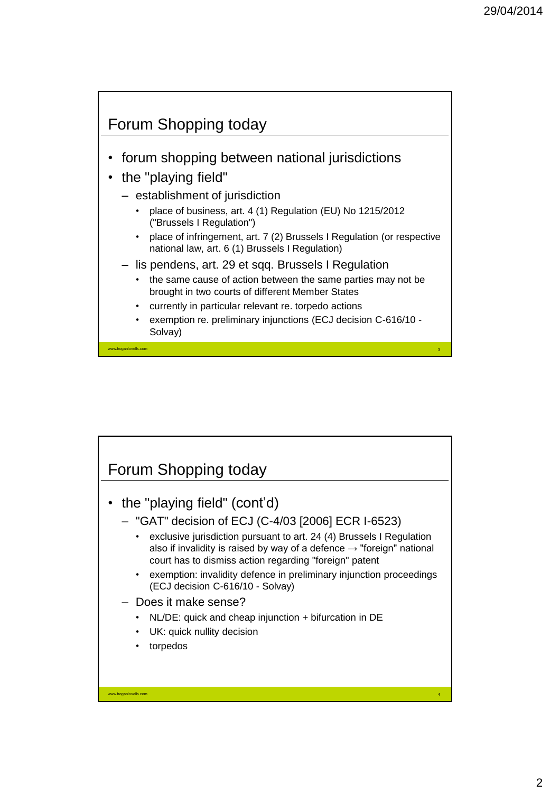# Forum Shopping today

- forum shopping between national jurisdictions
- the "playing field"

- establishment of jurisdiction
	- place of business, art. 4 (1) Regulation (EU) No 1215/2012 ("Brussels I Regulation")
	- place of infringement, art. 7 (2) Brussels I Regulation (or respective national law, art. 6 (1) Brussels I Regulation)
- lis pendens, art. 29 et sqq. Brussels I Regulation
	- the same cause of action between the same parties may not be brought in two courts of different Member States
	- currently in particular relevant re. torpedo actions
	- exemption re. preliminary injunctions (ECJ decision C-616/10 Solvay)

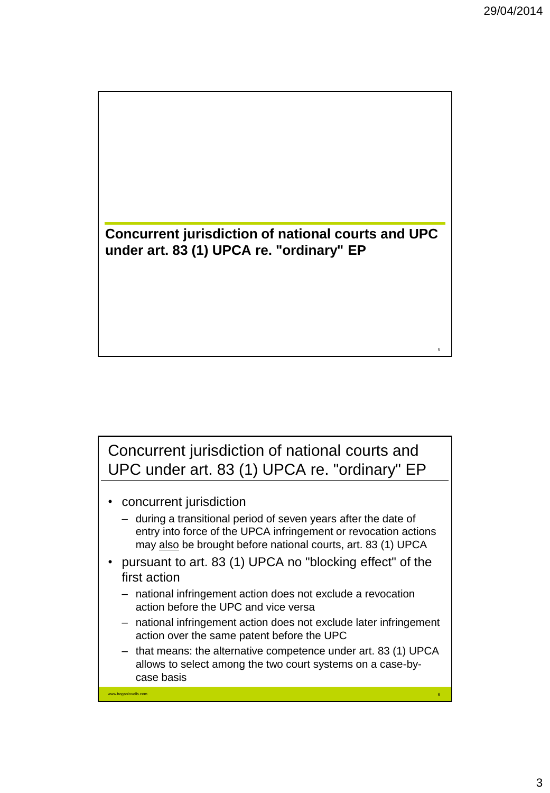

Concurrent jurisdiction of national courts and UPC under art. 83 (1) UPCA re. "ordinary" EP

• concurrent jurisdiction

www.hoganlovells.com

- during a transitional period of seven years after the date of entry into force of the UPCA infringement or revocation actions may also be brought before national courts, art. 83 (1) UPCA
- pursuant to art. 83 (1) UPCA no "blocking effect" of the first action
	- national infringement action does not exclude a revocation action before the UPC and vice versa
	- national infringement action does not exclude later infringement action over the same patent before the UPC
	- that means: the alternative competence under art. 83 (1) UPCA allows to select among the two court systems on a case-bycase basis

6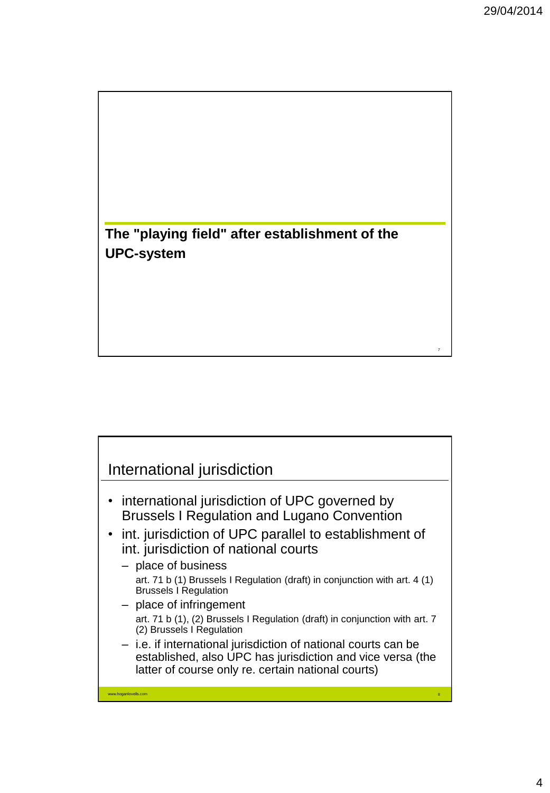8

**The "playing field" after establishment of the UPC-system**



- international jurisdiction of UPC governed by Brussels I Regulation and Lugano Convention
- int. jurisdiction of UPC parallel to establishment of int. jurisdiction of national courts
	- place of business art. 71 b (1) Brussels I Regulation (draft) in conjunction with art. 4 (1) Brussels I Regulation
	- place of infringement art. 71 b (1), (2) Brussels I Regulation (draft) in conjunction with art. 7 (2) Brussels I Regulation
	- i.e. if international jurisdiction of national courts can be established, also UPC has jurisdiction and vice versa (the latter of course only re. certain national courts)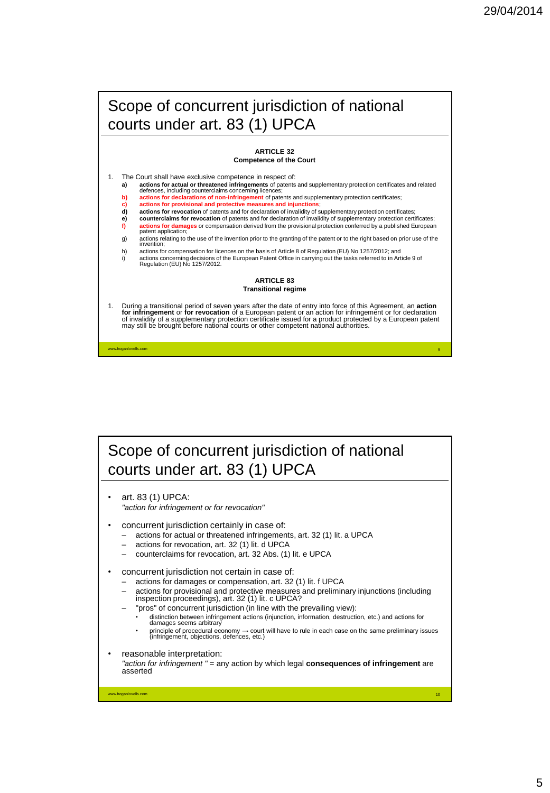10

## Scope of concurrent jurisdiction of national courts under art. 83 (1) UPCA

#### **ARTICLE 32 Competence of the Court**

- The Court shall have exclusive competence in respect of:<br>a) actions for actual or threatened infringements of patents **a) actions for actual or threatened infringements** of patents and supplementary protection certificates and related defences, including counterclaims concerning licences;
	- actions for declarations of non-infringement of patents and supplementary protection certificates;
- **c) actions for provisional and protective measures and injunctions**
- **d) actions for revocation** of patents and for declaration of invalidity of supplementary protection certificates;<br>**e) counterclaims for revocation** of patents and for declaration of invalidity of supplementary protect
- **e) counterclaims for revocation** of patents and for declaration of invalidity of supplementary protection certificates;<br>**f) actions for damages** or compensation derived from the provisional protection conferred by a p **actions for damages** or compensation derived from the provisional protection conferred by a published European
- patent application g) actions relating to the use of the invention prior to the granting of the patent or to the right based on prior use of the invention;

h) actions for compensation for licences on the basis of Article 8 of Regulation (EU) No 1257/2012; and<br>actions concerning decisions of the European Patent Office in carrying out the tasks referred to in Art i) actions concerning decisions of the European Patent Office in carrying out the tasks referred to in Article 9 of Regulation (EU) No 1257/2012.

### **ARTICLE 83 Transitional regime**

1. During a transitional period of seven years after the date of entry into force of this Agreement, an **action**<br>
for intringement or for revocation of a European patent or an action for infringement or for declaration<br>
of

Scope of concurrent jurisdiction of national courts under art. 83 (1) UPCA

• art. 83 (1) UPCA: *"action for infringement or for revocation"*

- concurrent jurisdiction certainly in case of:
	- actions for actual or threatened infringements, art. 32 (1) lit. a UPCA
	- actions for revocation, art. 32 (1) lit. d UPCA
	- counterclaims for revocation, art. 32 Abs. (1) lit. e UPCA
- concurrent jurisdiction not certain in case of:
	- actions for damages or compensation, art. 32 (1) lit. f UPCA
	- actions for provisional and protective measures and preliminary injunctions (including inspection proceedings), art. 32 (1) lit. c UPCA?
		- "pros" of concurrent jurisdiction (in line with the prevailing view):
			- distinction between infringement actions (injunction, information, destruction, etc.) and actions for damages seems arbitrary
		- principle of procedural economy → court will have to rule in each case on the same preliminary issues (infringement, objections, defences, etc.)
- reasonable interpretation:

*"action for infringement "* = any action by which legal **consequences of infringement** are asserted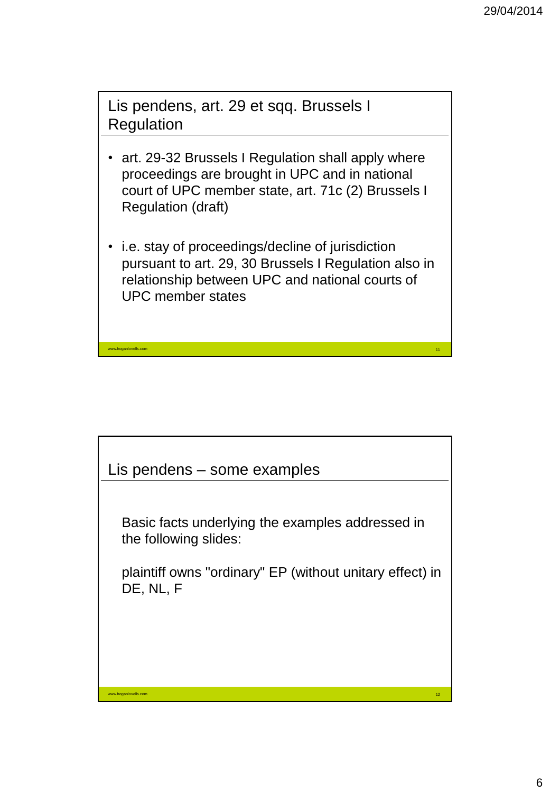12

Lis pendens, art. 29 et sqq. Brussels I **Regulation** 

- art. 29-32 Brussels I Regulation shall apply where proceedings are brought in UPC and in national court of UPC member state, art. 71c (2) Brussels I Regulation (draft)
- i.e. stay of proceedings/decline of jurisdiction pursuant to art. 29, 30 Brussels I Regulation also in relationship between UPC and national courts of UPC member states

Lis pendens – some examples

www.hoganlovells.com

www.hoganlovells.com

Basic facts underlying the examples addressed in the following slides:

plaintiff owns "ordinary" EP (without unitary effect) in DE, NL, F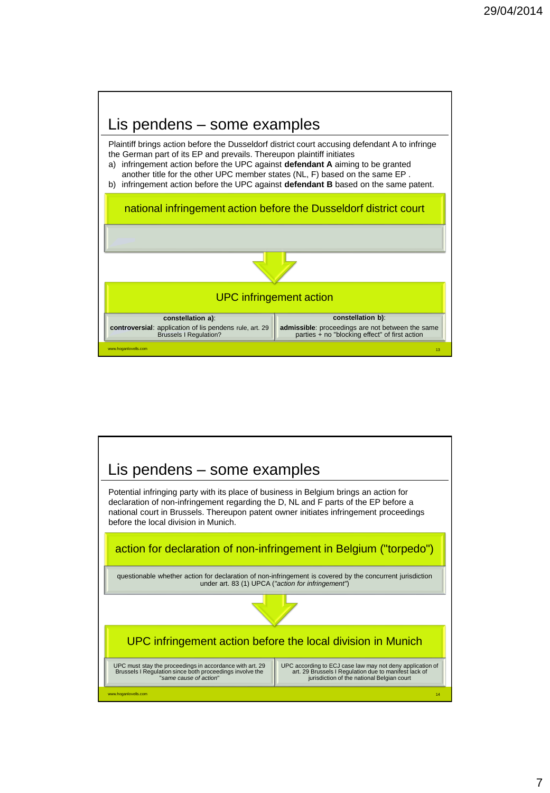

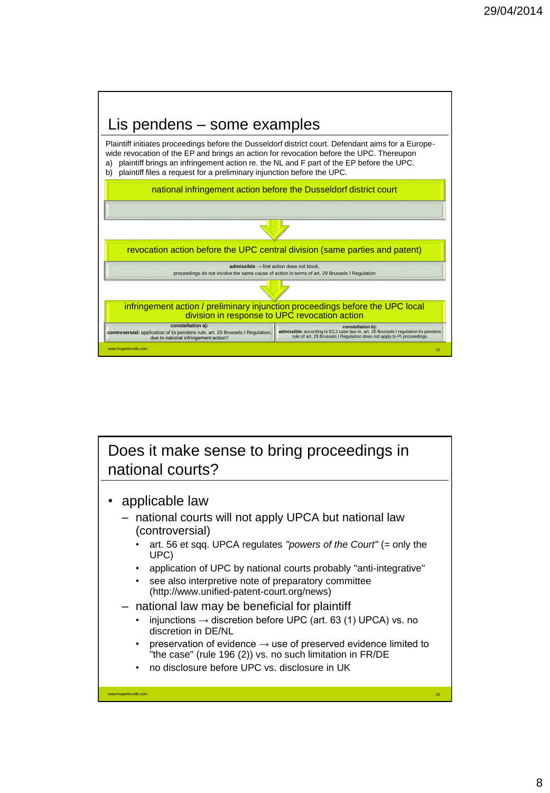

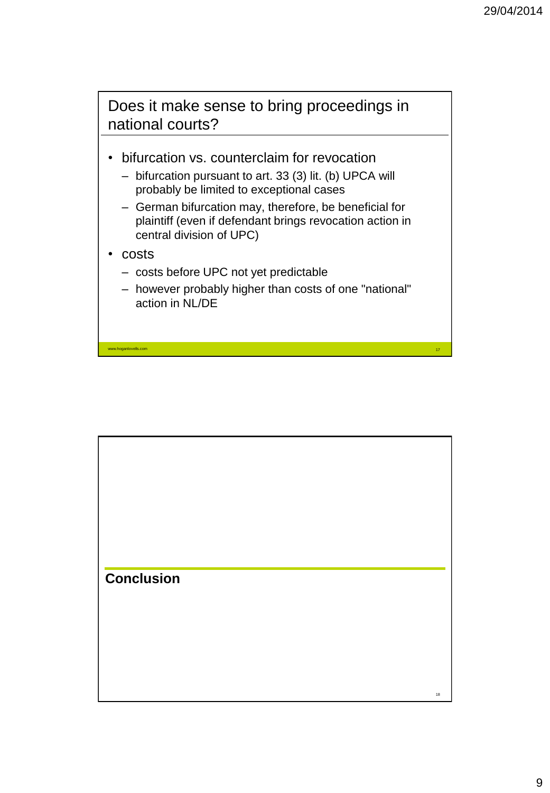18

Does it make sense to bring proceedings in national courts?

- bifurcation vs. counterclaim for revocation
	- bifurcation pursuant to art. 33 (3) lit. (b) UPCA will probably be limited to exceptional cases
	- German bifurcation may, therefore, be beneficial for plaintiff (even if defendant brings revocation action in central division of UPC)
- costs

www.hoganlovells.com

- costs before UPC not yet predictable
- however probably higher than costs of one "national" action in NL/DE

**Conclusion**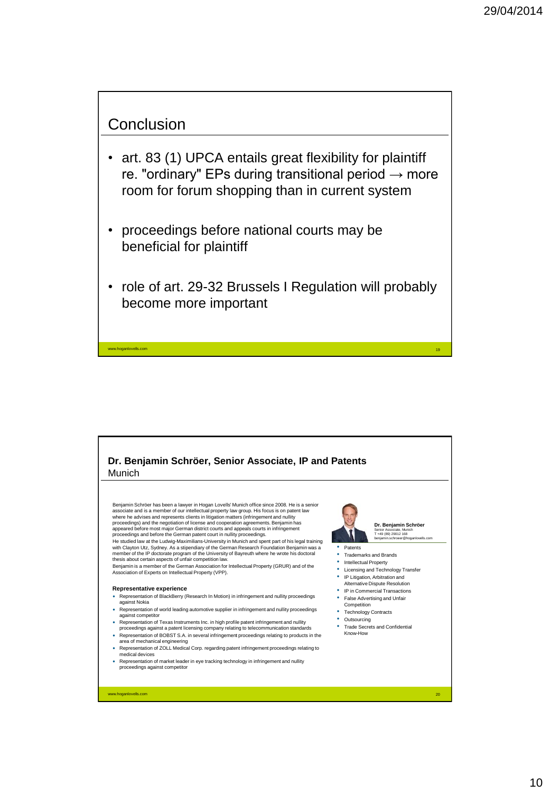### **Conclusion**

- art. 83 (1) UPCA entails great flexibility for plaintiff re. "ordinary" EPs during transitional period  $\rightarrow$  more room for forum shopping than in current system
- proceedings before national courts may be beneficial for plaintiff
- role of art. 29-32 Brussels I Regulation will probably become more important